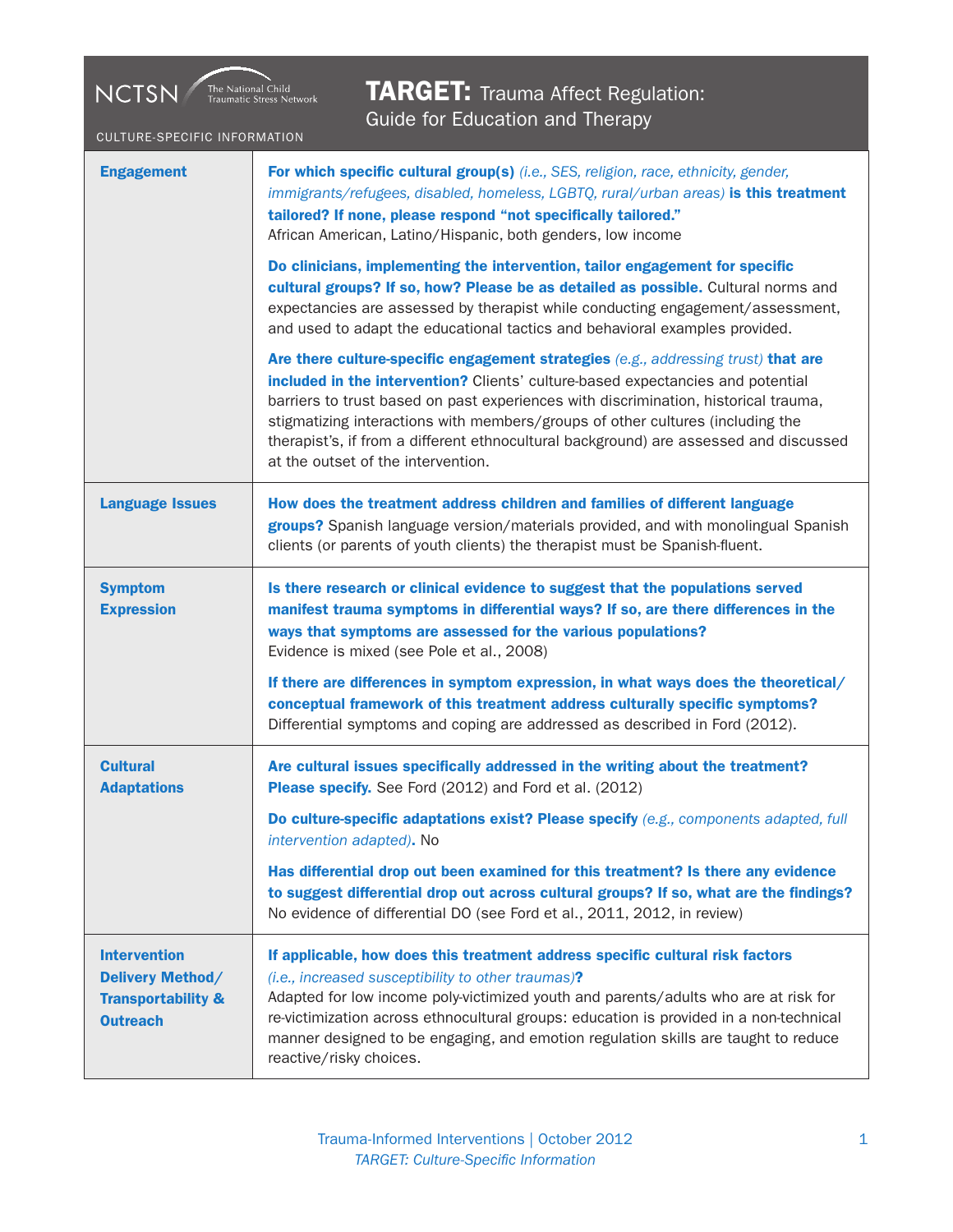## **TARGET:** Trauma Affect Regulation:<br>Guide for Education and Therapy Guide for Education and Therapy

CULTURE-SPECIFIC INFORMATION

NCTSN The National Child Traumatic Stress Network

| <b>Engagement</b>                                                                           | For which specific cultural group(s) (i.e., SES, religion, race, ethnicity, gender,<br>immigrants/refugees, disabled, homeless, LGBTQ, rural/urban areas) is this treatment<br>tailored? If none, please respond "not specifically tailored."<br>African American, Latino/Hispanic, both genders, low income                                                                                                                                                                                                                          |
|---------------------------------------------------------------------------------------------|---------------------------------------------------------------------------------------------------------------------------------------------------------------------------------------------------------------------------------------------------------------------------------------------------------------------------------------------------------------------------------------------------------------------------------------------------------------------------------------------------------------------------------------|
|                                                                                             | Do clinicians, implementing the intervention, tailor engagement for specific<br>cultural groups? If so, how? Please be as detailed as possible. Cultural norms and<br>expectancies are assessed by therapist while conducting engagement/assessment,<br>and used to adapt the educational tactics and behavioral examples provided.                                                                                                                                                                                                   |
|                                                                                             | Are there culture-specific engagement strategies (e.g., addressing trust) that are<br>included in the intervention? Clients' culture-based expectancies and potential<br>barriers to trust based on past experiences with discrimination, historical trauma,<br>stigmatizing interactions with members/groups of other cultures (including the<br>therapist's, if from a different ethnocultural background) are assessed and discussed<br>at the outset of the intervention.                                                         |
| <b>Language Issues</b>                                                                      | How does the treatment address children and families of different language<br>groups? Spanish language version/materials provided, and with monolingual Spanish<br>clients (or parents of youth clients) the therapist must be Spanish-fluent.                                                                                                                                                                                                                                                                                        |
| <b>Symptom</b><br><b>Expression</b>                                                         | Is there research or clinical evidence to suggest that the populations served<br>manifest trauma symptoms in differential ways? If so, are there differences in the<br>ways that symptoms are assessed for the various populations?<br>Evidence is mixed (see Pole et al., 2008)<br>If there are differences in symptom expression, in what ways does the theoretical/<br>conceptual framework of this treatment address culturally specific symptoms?<br>Differential symptoms and coping are addressed as described in Ford (2012). |
| <b>Cultural</b><br><b>Adaptations</b>                                                       | Are cultural issues specifically addressed in the writing about the treatment?<br>Please specify. See Ford (2012) and Ford et al. (2012)                                                                                                                                                                                                                                                                                                                                                                                              |
|                                                                                             | Do culture-specific adaptations exist? Please specify (e.g., components adapted, full<br>intervention adapted). No                                                                                                                                                                                                                                                                                                                                                                                                                    |
|                                                                                             | Has differential drop out been examined for this treatment? Is there any evidence<br>to suggest differential drop out across cultural groups? If so, what are the findings?<br>No evidence of differential DO (see Ford et al., 2011, 2012, in review)                                                                                                                                                                                                                                                                                |
| <b>Intervention</b><br>Delivery Method/<br><b>Transportability &amp;</b><br><b>Outreach</b> | If applicable, how does this treatment address specific cultural risk factors<br>(i.e., increased susceptibility to other traumas)?<br>Adapted for low income poly-victimized youth and parents/adults who are at risk for<br>re-victimization across ethnocultural groups: education is provided in a non-technical<br>manner designed to be engaging, and emotion regulation skills are taught to reduce<br>reactive/risky choices.                                                                                                 |